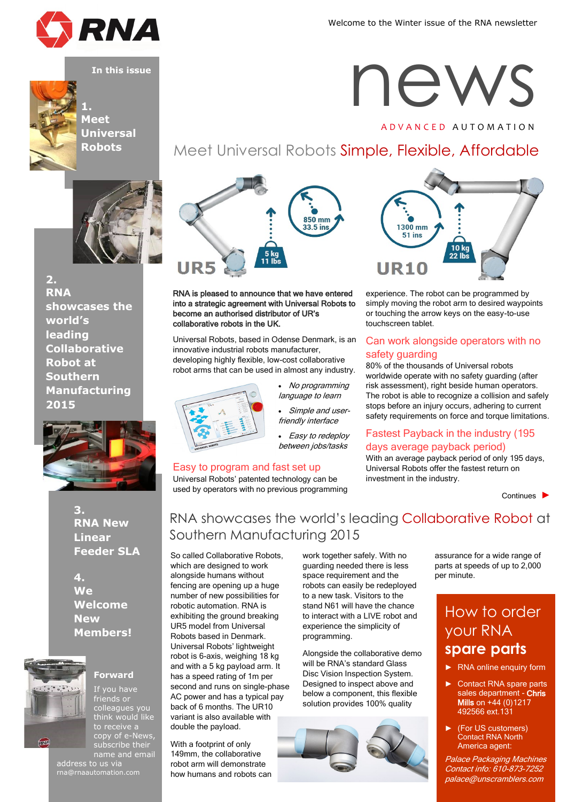





**1. Meet Universal Robots**



**2. RNA showcases the world's leading Collaborative Robot at Southern Manufacturing 2015**



**3. RNA New Linear Feeder SLA**

**4. We Welcome New Members!**



#### **Forward**

If you have friends or colleagues you think would like to receive a copy of e-News, subscribe their name and email

address to us via rna@rnaautomation.com



#### RNA is pleased to announce that we have entered into a strategic agreement with Universal Robots to become an authorised distributor of UR's collaborative robots in the UK.

Universal Robots, based in Odense Denmark, is an innovative industrial robots manufacturer, developing highly flexible, low-cost collaborative robot arms that can be used in almost any industry.



 No programming language to learn Simple and user-

friendly interface

• Easy to redeploy between jobs/tasks

## Easy to program and fast set up

Universal Robots' patented technology can be used by operators with no previous programming

# news

A D V A N C E D A U T O M A T I O N

# Meet Universal Robots Simple, Flexible, Affordable



experience. The robot can be programmed by simply moving the robot arm to desired waypoints or touching the arrow keys on the easy-to-use touchscreen tablet.

## Can work alongside operators with no safety guarding

80% of the thousands of Universal robots worldwide operate with no safety guarding (after risk assessment), right beside human operators. The robot is able to recognize a collision and safely stops before an injury occurs, adhering to current safety requirements on force and torque limitations.

## Fastest Payback in the industry (195 days average payback period)

With an average payback period of only 195 days, Universal Robots offer the fastest return on investment in the industry.

Continues ►

## RNA showcases the world's leading Collaborative Robot at Southern Manufacturing 2015

So called Collaborative Robots, which are designed to work alongside humans without fencing are opening up a huge number of new possibilities for robotic automation. RNA is exhibiting the ground breaking UR5 model from Universal Robots based in Denmark. Universal Robots' lightweight robot is 6-axis, weighing 18 kg and with a 5 kg payload arm. It has a speed rating of 1m per second and runs on single-phase AC power and has a typical pay back of 6 months. The UR10 variant is also available with double the payload.

With a footprint of only 149mm, the collaborative robot arm will demonstrate how humans and robots can work together safely. With no guarding needed there is less space requirement and the robots can easily be redeployed to a new task. Visitors to the stand N61 will have the chance to interact with a LIVE robot and experience the simplicity of programming.

Alongside the collaborative demo will be RNA's standard Glass Disc Vision Inspection System. Designed to inspect above and below a component, this flexible solution provides 100% quality



assurance for a wide range of parts at speeds of up to 2,000 per minute.

## How to order your RNA **spare parts**

- ► RNA online enquiry form
- Contact RNA spare parts sales department - Chris **Mills on +44 (0)1217** 492566 ext.131
- ► (For US customers) Contact RNA North America agent:

Palace Packaging Machines Contact info: 610-873-7252 palace@unscramblers.com